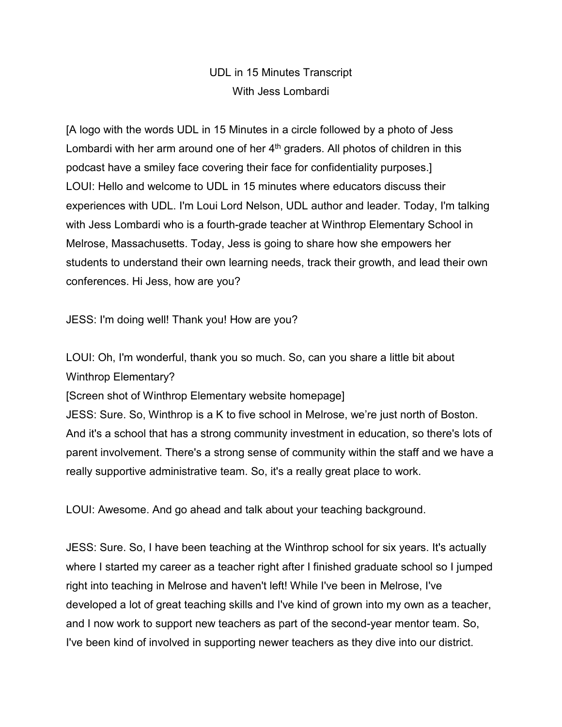## UDL in 15 Minutes Transcript With Jess Lombardi

[A logo with the words UDL in 15 Minutes in a circle followed by a photo of Jess Lombardi with her arm around one of her  $4<sup>th</sup>$  graders. All photos of children in this podcast have a smiley face covering their face for confidentiality purposes.] LOUI: Hello and welcome to UDL in 15 minutes where educators discuss their experiences with UDL. I'm Loui Lord Nelson, UDL author and leader. Today, I'm talking with Jess Lombardi who is a fourth-grade teacher at Winthrop Elementary School in Melrose, Massachusetts. Today, Jess is going to share how she empowers her students to understand their own learning needs, track their growth, and lead their own conferences. Hi Jess, how are you?

JESS: I'm doing well! Thank you! How are you?

LOUI: Oh, I'm wonderful, thank you so much. So, can you share a little bit about Winthrop Elementary?

[Screen shot of Winthrop Elementary website homepage]

JESS: Sure. So, Winthrop is a K to five school in Melrose, we're just north of Boston. And it's a school that has a strong community investment in education, so there's lots of parent involvement. There's a strong sense of community within the staff and we have a really supportive administrative team. So, it's a really great place to work.

LOUI: Awesome. And go ahead and talk about your teaching background.

JESS: Sure. So, I have been teaching at the Winthrop school for six years. It's actually where I started my career as a teacher right after I finished graduate school so I jumped right into teaching in Melrose and haven't left! While I've been in Melrose, I've developed a lot of great teaching skills and I've kind of grown into my own as a teacher, and I now work to support new teachers as part of the second-year mentor team. So, I've been kind of involved in supporting newer teachers as they dive into our district.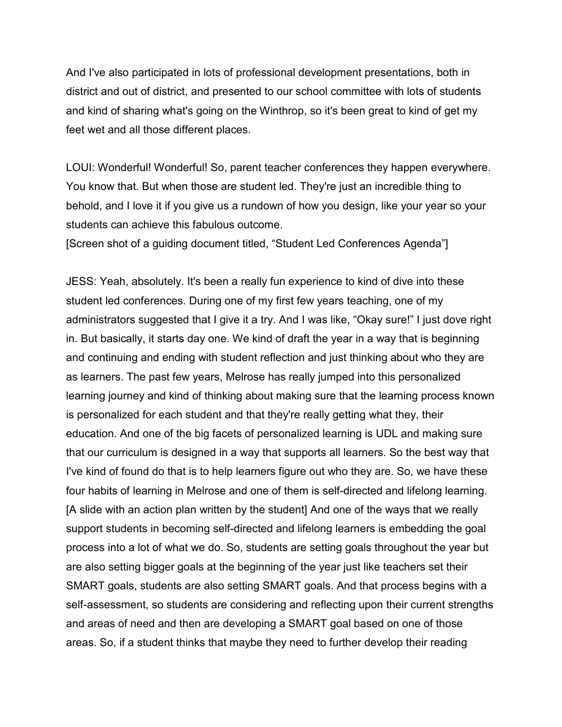And I've also participated in lots of professional development presentations, both in district and out of district, and presented to our school committee with lots of students and kind of sharing what's going on the Winthrop, so it's been great to kind of get my feet wet and all those different places.

LOUI: Wonderful! Wonderful! So, parent teacher conferences they happen everywhere. You know that. But when those are student led. They're just an incredible thing to behold, and I love it if you give us a rundown of how you design, like your year so your students can achieve this fabulous outcome.

[Screen shot of a guiding document titled, "Student Led Conferences Agenda"]

JESS: Yeah, absolutely. It's been a really fun experience to kind of dive into these student led conferences. During one of my first few years teaching, one of my administrators suggested that I give it a try. And I was like, "Okay sure!" I just dove right in. But basically, it starts day one. We kind of draft the year in a way that is beginning and continuing and ending with student reflection and just thinking about who they are as learners. The past few years, Melrose has really jumped into this personalized learning journey and kind of thinking about making sure that the learning process known is personalized for each student and that they're really getting what they, their education. And one of the big facets of personalized learning is UDL and making sure that our curriculum is designed in a way that supports all learners. So the best way that I've kind of found do that is to help learners figure out who they are. So, we have these four habits of learning in Melrose and one of them is self-directed and lifelong learning. [A slide with an action plan written by the student] And one of the ways that we really support students in becoming self-directed and lifelong learners is embedding the goal process into a lot of what we do. So, students are setting goals throughout the year but are also setting bigger goals at the beginning of the year just like teachers set their SMART goals, students are also setting SMART goals. And that process begins with a self-assessment, so students are considering and reflecting upon their current strengths and areas of need and then are developing a SMART goal based on one of those areas. So, if a student thinks that maybe they need to further develop their reading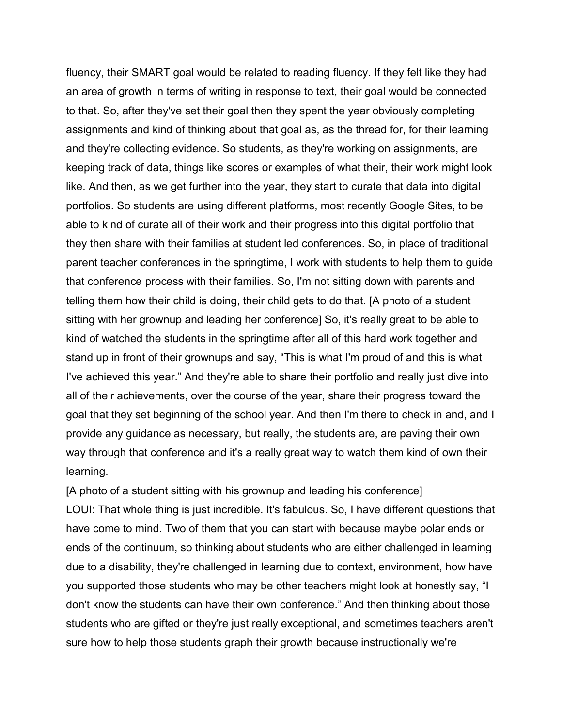fluency, their SMART goal would be related to reading fluency. If they felt like they had an area of growth in terms of writing in response to text, their goal would be connected to that. So, after they've set their goal then they spent the year obviously completing assignments and kind of thinking about that goal as, as the thread for, for their learning and they're collecting evidence. So students, as they're working on assignments, are keeping track of data, things like scores or examples of what their, their work might look like. And then, as we get further into the year, they start to curate that data into digital portfolios. So students are using different platforms, most recently Google Sites, to be able to kind of curate all of their work and their progress into this digital portfolio that they then share with their families at student led conferences. So, in place of traditional parent teacher conferences in the springtime, I work with students to help them to guide that conference process with their families. So, I'm not sitting down with parents and telling them how their child is doing, their child gets to do that. [A photo of a student sitting with her grownup and leading her conference] So, it's really great to be able to kind of watched the students in the springtime after all of this hard work together and stand up in front of their grownups and say, "This is what I'm proud of and this is what I've achieved this year." And they're able to share their portfolio and really just dive into all of their achievements, over the course of the year, share their progress toward the goal that they set beginning of the school year. And then I'm there to check in and, and I provide any guidance as necessary, but really, the students are, are paving their own way through that conference and it's a really great way to watch them kind of own their learning.

[A photo of a student sitting with his grownup and leading his conference] LOUI: That whole thing is just incredible. It's fabulous. So, I have different questions that have come to mind. Two of them that you can start with because maybe polar ends or ends of the continuum, so thinking about students who are either challenged in learning due to a disability, they're challenged in learning due to context, environment, how have you supported those students who may be other teachers might look at honestly say, "I don't know the students can have their own conference." And then thinking about those students who are gifted or they're just really exceptional, and sometimes teachers aren't sure how to help those students graph their growth because instructionally we're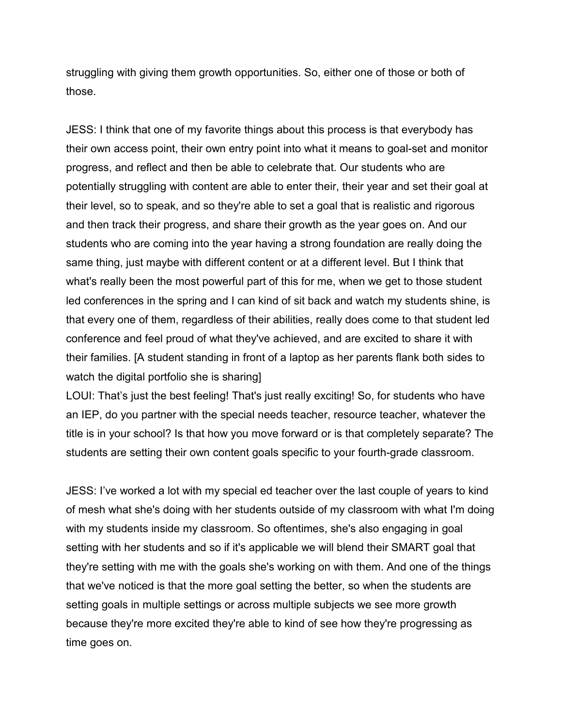struggling with giving them growth opportunities. So, either one of those or both of those.

JESS: I think that one of my favorite things about this process is that everybody has their own access point, their own entry point into what it means to goal-set and monitor progress, and reflect and then be able to celebrate that. Our students who are potentially struggling with content are able to enter their, their year and set their goal at their level, so to speak, and so they're able to set a goal that is realistic and rigorous and then track their progress, and share their growth as the year goes on. And our students who are coming into the year having a strong foundation are really doing the same thing, just maybe with different content or at a different level. But I think that what's really been the most powerful part of this for me, when we get to those student led conferences in the spring and I can kind of sit back and watch my students shine, is that every one of them, regardless of their abilities, really does come to that student led conference and feel proud of what they've achieved, and are excited to share it with their families. [A student standing in front of a laptop as her parents flank both sides to watch the digital portfolio she is sharing]

LOUI: That's just the best feeling! That's just really exciting! So, for students who have an IEP, do you partner with the special needs teacher, resource teacher, whatever the title is in your school? Is that how you move forward or is that completely separate? The students are setting their own content goals specific to your fourth-grade classroom.

JESS: I've worked a lot with my special ed teacher over the last couple of years to kind of mesh what she's doing with her students outside of my classroom with what I'm doing with my students inside my classroom. So oftentimes, she's also engaging in goal setting with her students and so if it's applicable we will blend their SMART goal that they're setting with me with the goals she's working on with them. And one of the things that we've noticed is that the more goal setting the better, so when the students are setting goals in multiple settings or across multiple subjects we see more growth because they're more excited they're able to kind of see how they're progressing as time goes on.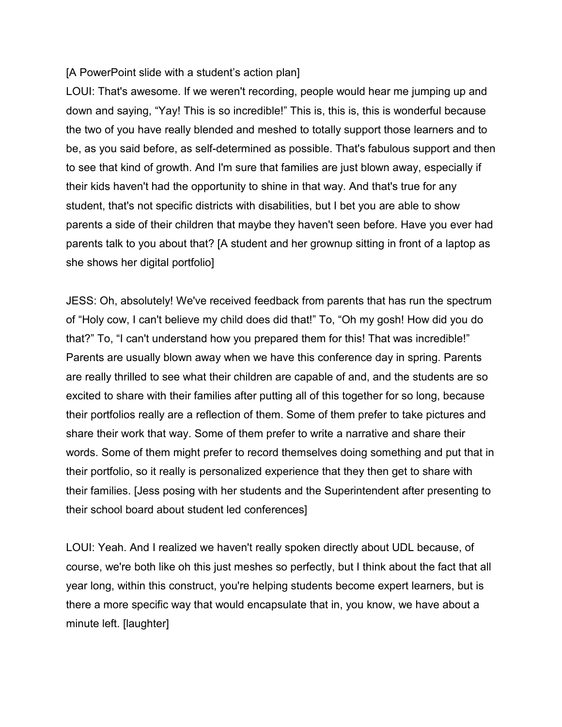## [A PowerPoint slide with a student's action plan]

LOUI: That's awesome. If we weren't recording, people would hear me jumping up and down and saying, "Yay! This is so incredible!" This is, this is, this is wonderful because the two of you have really blended and meshed to totally support those learners and to be, as you said before, as self-determined as possible. That's fabulous support and then to see that kind of growth. And I'm sure that families are just blown away, especially if their kids haven't had the opportunity to shine in that way. And that's true for any student, that's not specific districts with disabilities, but I bet you are able to show parents a side of their children that maybe they haven't seen before. Have you ever had parents talk to you about that? [A student and her grownup sitting in front of a laptop as she shows her digital portfolio]

JESS: Oh, absolutely! We've received feedback from parents that has run the spectrum of "Holy cow, I can't believe my child does did that!" To, "Oh my gosh! How did you do that?" To, "I can't understand how you prepared them for this! That was incredible!" Parents are usually blown away when we have this conference day in spring. Parents are really thrilled to see what their children are capable of and, and the students are so excited to share with their families after putting all of this together for so long, because their portfolios really are a reflection of them. Some of them prefer to take pictures and share their work that way. Some of them prefer to write a narrative and share their words. Some of them might prefer to record themselves doing something and put that in their portfolio, so it really is personalized experience that they then get to share with their families. [Jess posing with her students and the Superintendent after presenting to their school board about student led conferences]

LOUI: Yeah. And I realized we haven't really spoken directly about UDL because, of course, we're both like oh this just meshes so perfectly, but I think about the fact that all year long, within this construct, you're helping students become expert learners, but is there a more specific way that would encapsulate that in, you know, we have about a minute left. [laughter]